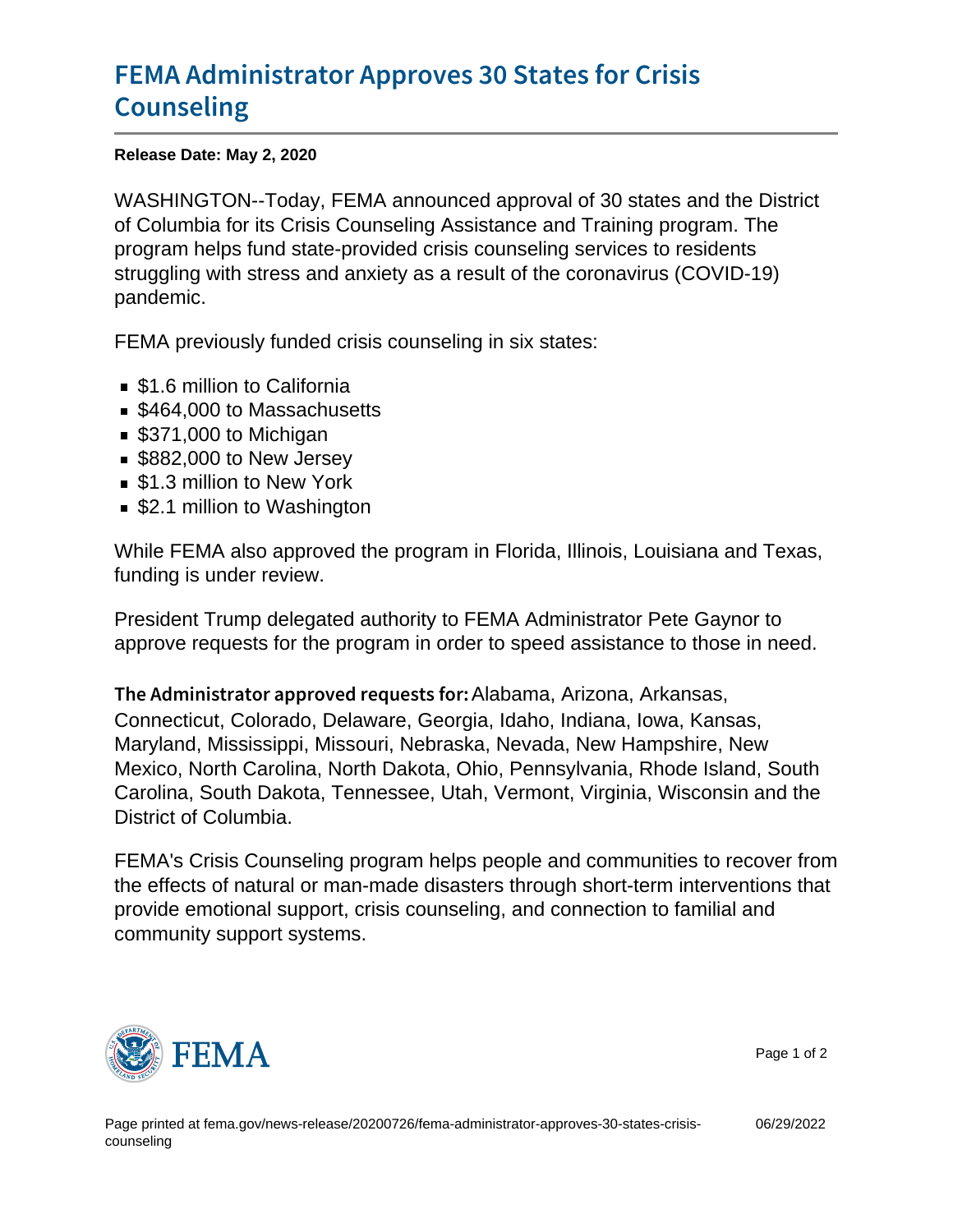## [FEMA Administrator Approves](https://www.fema.gov/news-release/20200726/fema-administrator-approves-30-states-crisis-counseling) 30 States fo [Counse](https://www.fema.gov/news-release/20200726/fema-administrator-approves-30-states-crisis-counseling)ling

Release Date: May 2, 2020

WASHINGTON--Today, FEMA announced approval of 30 states and the District of Columbia for its Crisis Counseling Assistance and Training program. The program helps fund state-provided crisis counseling services to residents struggling with stress and anxiety as a result of the coronavirus (COVID-19) pandemic.

FEMA previously funded crisis counseling in six states:

- **51.6 million to California**
- \$464,000 to Massachusetts
- \$371,000 to Michigan
- **S882,000 to New Jersey**
- **51.3 million to New York**
- \$2.1 million to Washington

While FEMA also approved the program in Florida, Illinois, Louisiana and Texas, funding is under review.

President Trump delegated authority to FEMA Administrator Pete Gaynor to approve requests for the program in order to speed assistance to those in need.

The Administrator approvAelabameagAurizosmutas, Afkansas, Connecticut, Colorado, Delaware, Georgia, Idaho, Indiana, Iowa, Kansas, Maryland, Mississippi, Missouri, Nebraska, Nevada, New Hampshire, New Mexico, North Carolina, North Dakota, Ohio, Pennsylvania, Rhode Island, South Carolina, South Dakota, Tennessee, Utah, Vermont, Virginia, Wisconsin and the District of Columbia.

FEMA's Crisis Counseling program helps people and communities to recover from the effects of natural or man-made disasters through short-term interventions that provide emotional support, crisis counseling, and connection to familial and community support systems.



Page 1 of 2